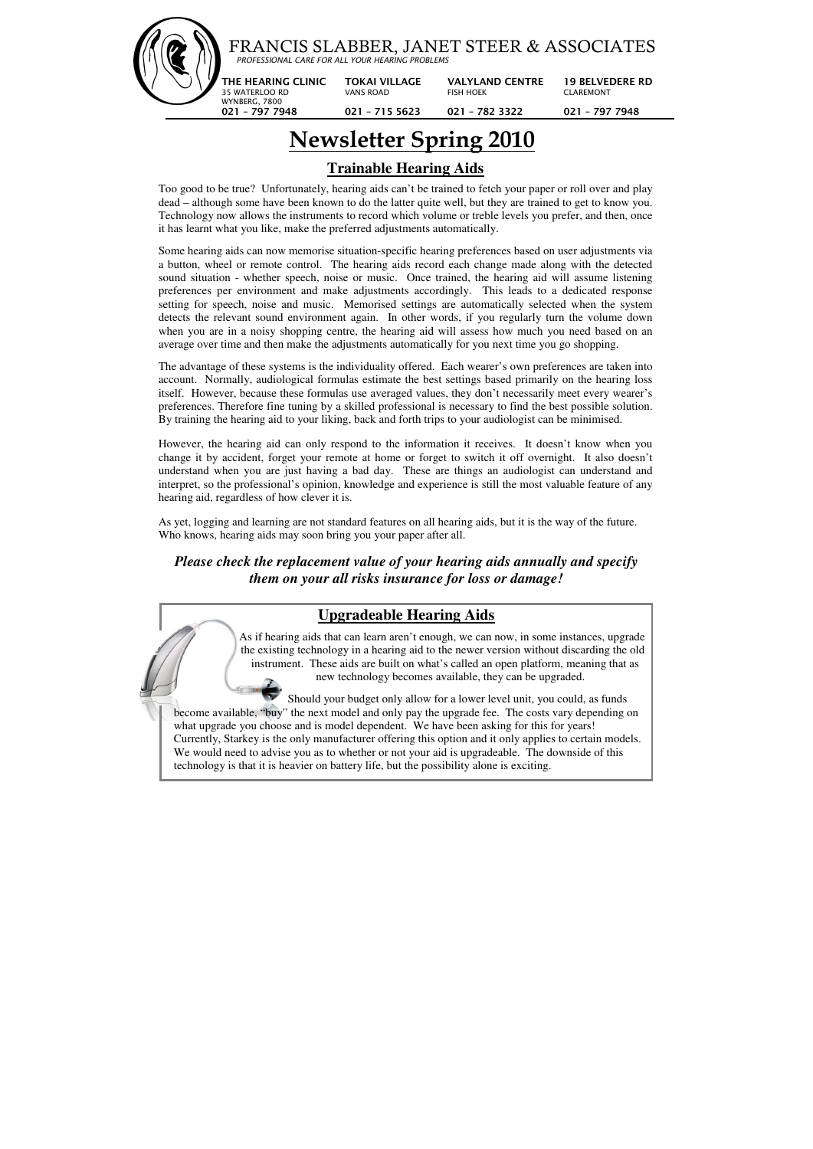|  | FRANCIS SLABBER, JANET STEER & ASSOCIATES<br>PROFESSIONAL CARE FOR ALL YOUR HEARING PROBLEMS |                                                             |                                                               |                                                              |  |  |
|--|----------------------------------------------------------------------------------------------|-------------------------------------------------------------|---------------------------------------------------------------|--------------------------------------------------------------|--|--|
|  | THE HEARING CLINIC<br>35 WATERLOO RD<br>WYNBERG, 7800<br>$021 - 7977948$                     | <b>TOKAI VILLAGE</b><br><b>VANS ROAD</b><br>$021 - 7155623$ | <b>VALYLAND CENTRE</b><br><b>FISH HOEK</b><br>$021 - 7823322$ | <b>19 BELVEDERE RD</b><br><b>CLAREMONT</b><br>021 - 797 7948 |  |  |

# **Newsletter Spring 2010**

## **Trainable Hearing Aids**

Too good to be true? Unfortunately, hearing aids can't be trained to fetch your paper or roll over and play dead – although some have been known to do the latter quite well, but they are trained to get to know you. Technology now allows the instruments to record which volume or treble levels you prefer, and then, once it has learnt what you like, make the preferred adjustments automatically.

Some hearing aids can now memorise situation-specific hearing preferences based on user adjustments via a button, wheel or remote control. The hearing aids record each change made along with the detected sound situation - whether speech, noise or music. Once trained, the hearing aid will assume listening preferences per environment and make adjustments accordingly. This leads to a dedicated response setting for speech, noise and music. Memorised settings are automatically selected when the system detects the relevant sound environment again. In other words, if you regularly turn the volume down when you are in a noisy shopping centre, the hearing aid will assess how much you need based on an average over time and then make the adjustments automatically for you next time you go shopping.

The advantage of these systems is the individuality offered. Each wearer's own preferences are taken into account. Normally, audiological formulas estimate the best settings based primarily on the hearing loss itself. However, because these formulas use averaged values, they don't necessarily meet every wearer's preferences. Therefore fine tuning by a skilled professional is necessary to find the best possible solution. By training the hearing aid to your liking, back and forth trips to your audiologist can be minimised.

However, the hearing aid can only respond to the information it receives. It doesn't know when you change it by accident, forget your remote at home or forget to switch it off overnight. It also doesn't understand when you are just having a bad day. These are things an audiologist can understand and interpret, so the professional's opinion, knowledge and experience is still the most valuable feature of any hearing aid, regardless of how clever it is.

As yet, logging and learning are not standard features on all hearing aids, but it is the way of the future. Who knows, hearing aids may soon bring you your paper after all.

*Please check the replacement value of your hearing aids annually and specify them on your all risks insurance for loss or damage!*